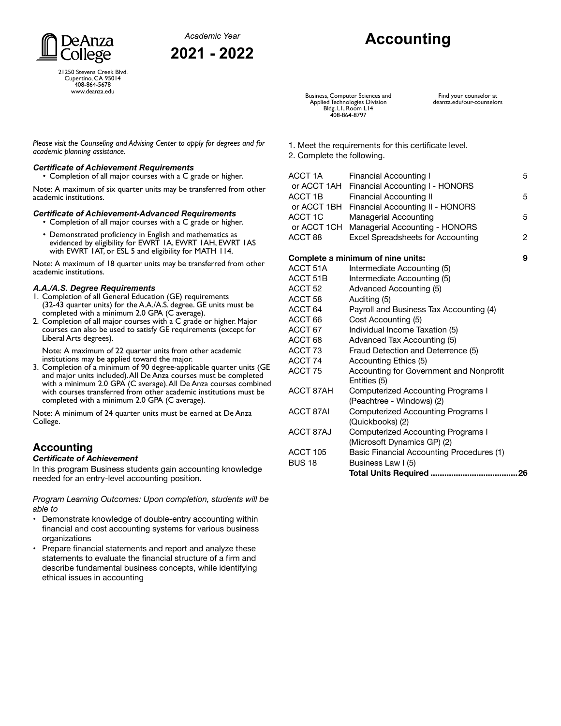



21250 Stevens Creek Blvd. Cupertino, CA 95014 408-864-5678 www.deanza.edu

# **Accounting**

Business, Computer Sciences and Applied Technologies Division Bldg. L1, Room L14 408-864-8797

*Please visit the Counseling and Advising Center to apply for degrees and for academic planning assistance.*

#### *Certificate of Achievement Requirements*

• Completion of all major courses with a C grade or higher.

Note: A maximum of six quarter units may be transferred from other academic institutions.

#### *Certificate of Achievement-Advanced Requirements*

• Completion of all major courses with a C grade or higher.

• Demonstrated proficiency in English and mathematics as evidenced by eligibility for EWRT 1A, EWRT 1AH, EWRT 1AS with EWRT 1AT, or ESL 5 and eligibility for MATH 114.

Note: A maximum of 18 quarter units may be transferred from other academic institutions.

#### *A.A./A.S. Degree Requirements*

- 1. Completion of all General Education (GE) requirements (32-43 quarter units) for the A.A./A.S. degree. GE units must be completed with a minimum 2.0 GPA (C average).
- 2. Completion of all major courses with a C grade or higher. Major courses can also be used to satisfy GE requirements (except for Liberal Arts degrees).

Note: A maximum of 22 quarter units from other academic institutions may be applied toward the major.

3. Completion of a minimum of 90 degree-applicable quarter units (GE and major units included). All De Anza courses must be completed with a minimum 2.0 GPA (C average). All De Anza courses combined with courses transferred from other academic institutions must be completed with a minimum 2.0 GPA (C average).

Note: A minimum of 24 quarter units must be earned at De Anza College.

### **Accounting**

#### *Certificate of Achievement*

In this program Business students gain accounting knowledge needed for an entry-level accounting position.

*Program Learning Outcomes: Upon completion, students will be able to*

- Demonstrate knowledge of double-entry accounting within financial and cost accounting systems for various business organizations
- Prepare financial statements and report and analyze these statements to evaluate the financial structure of a firm and describe fundamental business concepts, while identifying ethical issues in accounting

1. Meet the requirements for this certificate level.

2. Complete the following.

| ACCT 1A            | Financial Accounting I                       | 5 |
|--------------------|----------------------------------------------|---|
|                    | or ACCT 1AH Financial Accounting I - HONORS  |   |
| ACCT 1B            | <b>Financial Accounting II</b>               | 5 |
|                    | or ACCT 1BH Financial Accounting II - HONORS |   |
| ACCT 1C            | Managerial Accounting                        | 5 |
|                    | or ACCT 1CH Managerial Accounting - HONORS   |   |
| ACCT <sub>88</sub> | <b>Excel Spreadsheets for Accounting</b>     | 2 |
|                    |                                              |   |

#### **Complete a minimum of nine units: 9**

| ACCT 51A           | Intermediate Accounting (5)                             |    |
|--------------------|---------------------------------------------------------|----|
| ACCT 51B           | Intermediate Accounting (5)                             |    |
| ACCT <sub>52</sub> | Advanced Accounting (5)                                 |    |
| ACCT <sub>58</sub> | Auditing (5)                                            |    |
| ACCT 64            | Payroll and Business Tax Accounting (4)                 |    |
| ACCT 66            | Cost Accounting (5)                                     |    |
| ACCT 67            | Individual Income Taxation (5)                          |    |
| ACCT 68            | Advanced Tax Accounting (5)                             |    |
| ACCT 73            | Fraud Detection and Deterrence (5)                      |    |
| ACCT 74            | Accounting Ethics (5)                                   |    |
| ACCT 75            | Accounting for Government and Nonprofit<br>Entities (5) |    |
| ACCT 87AH          | Computerized Accounting Programs I                      |    |
|                    | (Peachtree - Windows) (2)                               |    |
| <b>ACCT 87AI</b>   | Computerized Accounting Programs I                      |    |
|                    | (Quickbooks) (2)                                        |    |
| ACCT 87AJ          | <b>Computerized Accounting Programs I</b>               |    |
|                    | (Microsoft Dynamics GP) (2)                             |    |
| ACCT 105           | <b>Basic Financial Accounting Procedures (1)</b>        |    |
| <b>BUS 18</b>      | Business Law I (5)                                      |    |
|                    | <b>Total Units Required </b>                            | 26 |
|                    |                                                         |    |